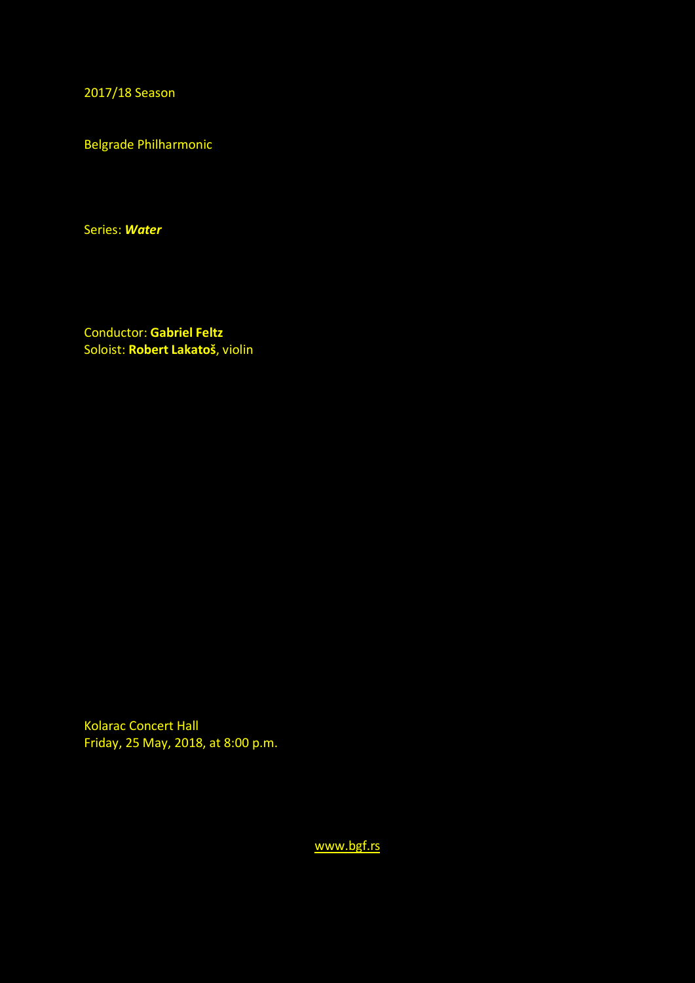2017/18 Season

Belgrade Philharmonic

Series: *Water*

Conductor: **Gabriel Feltz** Soloist: **Robert Lakatoš**, violin

Kolarac Concert Hall Friday, 25 May, 2018, at 8:00 p.m.

[www.bgf.rs](http://www.bgf.rs/)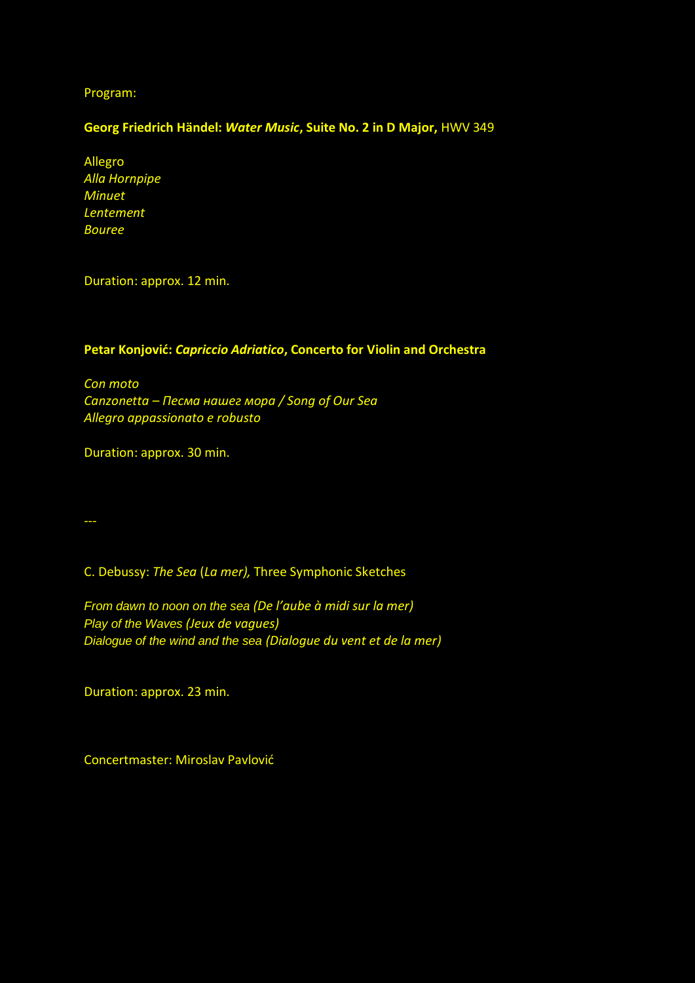Program:

## **Georg Friedrich Händel:** *Water Music***, Suite No. 2 in D Major,** HWV 349

Allegro *Alla Hornpipe Minuet Lentement Bouree* 

Duration: approx. 12 min.

## **Petar Konjović:** *Capriccio Adriatico***, Concerto for Violin and Orchestra**

*Con moto Canzonetta – Песма нашег мора / Song of Our Sea Allegro appassionato e robusto*

Duration: approx. 30 min.

C. Debussy: *The Sea* (*La mer),* Three Symphonic Sketches

*From dawn to noon on the sea (De l'aube à midi sur la mer) Play of the Waves (Jeux de vagues) Dialogue of the wind and the sea (Dialogue du vent et de la mer)*

Duration: approx. 23 min.

Concertmaster: Miroslav Pavlović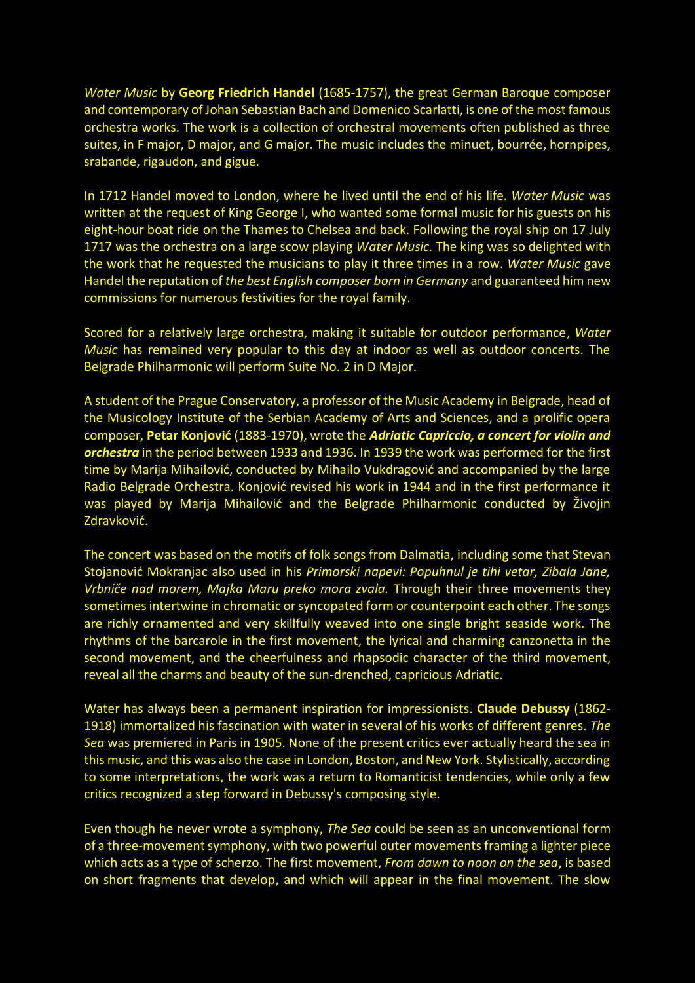*Water Music* by **Georg Friedrich Handel** (1685-1757), the great German Baroque composer and contemporary of Johan Sebastian Bach and Domenico Scarlatti, is one of the most famous orchestra works. The work is a collection of orchestral movements often published as three suites, in F major, D major, and G major. The music includes the minuet, bourrée, hornpipes, srabande, rigaudon, and gigue.

In 1712 Handel moved to London, where he lived until the end of his life. *Water Music* was written at the request of King George I, who wanted some formal music for his guests on his eight-hour boat ride on the Thames to Chelsea and back. Following the royal ship on 17 July 1717 was the orchestra on a large scow playing *Water Music.* The king was so delighted with the work that he requested the musicians to play it three times in a row. *Water Music* gave Handel the reputation of *the best English composer born in Germany* and guaranteed him new commissions for numerous festivities for the royal family.

Scored for a relatively large orchestra, making it suitable for outdoor performance, *Water Music* has remained very popular to this day at indoor as well as outdoor concerts. The Belgrade Philharmonic will perform Suite No. 2 in D Major.

A student of the Prague Conservatory, a professor of the Music Academy in Belgrade, head of the Musicology Institute of the Serbian Academy of Arts and Sciences, and a prolific opera composer, **Petar Konjović** (1883-1970), wrote the *Adriatic Capriccio, a concert for violin and orchestra* in the period between 1933 and 1936. In 1939 the work was performed for the first time by Marija Mihailović, conducted by Mihailo Vukdragović and accompanied by the large Radio Belgrade Orchestra. Konjović revised his work in 1944 and in the first performance it was played by Marija Mihailović and the Belgrade Philharmonic conducted by Živojin Zdravković.

The concert was based on the motifs of folk songs from Dalmatia, including some that Stevan Stojanović Mokranjac also used in his *Primorski napevi: Popuhnul je tihi vetar, Zibala Jane, Vrbniče nad morem, Majka Maru preko mora zvala.* Through their three movements they sometimes intertwine in chromatic or syncopated form or counterpoint each other. The songs are richly ornamented and very skillfully weaved into one single bright seaside work. The rhythms of the barcarole in the first movement, the lyrical and charming canzonetta in the second movement, and the cheerfulness and rhapsodic character of the third movement, reveal all the charms and beauty of the sun-drenched, capricious Adriatic.

Water has always been a permanent inspiration for impressionists. **Claude Debussy** (1862- 1918) immortalized his fascination with water in several of his works of different genres. *The Sea* was premiered in Paris in 1905. None of the present critics ever actually heard the sea in this music, and this was also the case in London, Boston, and New York. Stylistically, according to some interpretations, the work was a return to Romanticist tendencies, while only a few critics recognized a step forward in Debussy's composing style.

Even though he never wrote a symphony, *The Sea* could be seen as an unconventional form of a three-movement symphony, with two powerful outer movementsframing a lighter piece which acts as a type of scherzo. The first movement, *From dawn to noon on the sea*, is based on short fragments that develop, and which will appear in the final movement. The slow